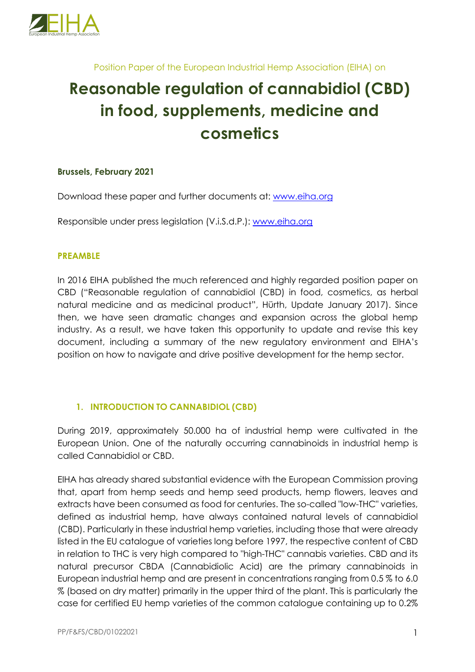

Position Paper of the European Industrial Hemp Association (EIHA) on

# **Reasonable regulation of cannabidiol (CBD) in food, supplements, medicine and cosmetics**

#### **Brussels, February 2021**

Download these paper and further documents at: www.eiha.org

Responsible under press legislation (V.i.S.d.P.): www.eiha.org

#### **PREAMBLE**

In 2016 EIHA published the much referenced and highly regarded position paper on CBD ("Reasonable regulation of cannabidiol (CBD) in food, cosmetics, as herbal natural medicine and as medicinal product", Hürth, Update January 2017). Since then, we have seen dramatic changes and expansion across the global hemp industry. As a result, we have taken this opportunity to update and revise this key document, including a summary of the new regulatory environment and EIHA's position on how to navigate and drive positive development for the hemp sector.

#### **1. INTRODUCTION TO CANNABIDIOL (CBD)**

During 2019, approximately 50.000 ha of industrial hemp were cultivated in the European Union. One of the naturally occurring cannabinoids in industrial hemp is called Cannabidiol or CBD.

EIHA has already shared substantial evidence with the European Commission proving that, apart from hemp seeds and hemp seed products, hemp flowers, leaves and extracts have been consumed as food for centuries. The so-called "low-THC" varieties, defined as industrial hemp, have always contained natural levels of cannabidiol (CBD). Particularly in these industrial hemp varieties, including those that were already listed in the EU catalogue of varieties long before 1997, the respective content of CBD in relation to THC is very high compared to "high-THC" cannabis varieties. CBD and its natural precursor CBDA (Cannabidiolic Acid) are the primary cannabinoids in European industrial hemp and are present in concentrations ranging from 0.5 % to 6.0 % (based on dry matter) primarily in the upper third of the plant. This is particularly the case for certified EU hemp varieties of the common catalogue containing up to 0.2%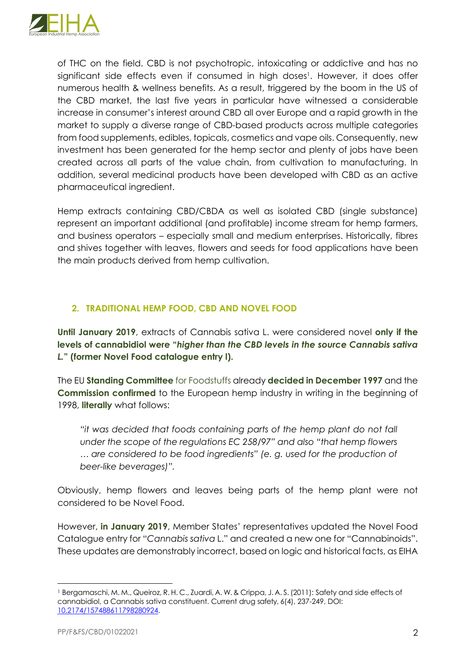

of THC on the field. CBD is not psychotropic, intoxicating or addictive and has no significant side effects even if consumed in high doses<sup>1</sup>. However, it does offer numerous health & wellness benefits. As a result, triggered by the boom in the US of the CBD market, the last five years in particular have witnessed a considerable increase in consumer's interest around CBD all over Europe and a rapid growth in the market to supply a diverse range of CBD-based products across multiple categories from food supplements, edibles, topicals, cosmetics and vape oils. Consequently, new investment has been generated for the hemp sector and plenty of jobs have been created across all parts of the value chain, from cultivation to manufacturing. In addition, several medicinal products have been developed with CBD as an active pharmaceutical ingredient.

Hemp extracts containing CBD/CBDA as well as isolated CBD (single substance) represent an important additional (and profitable) income stream for hemp farmers, and business operators – especially small and medium enterprises. Historically, fibres and shives together with leaves, flowers and seeds for food applications have been the main products derived from hemp cultivation.

# **2. TRADITIONAL HEMP FOOD, CBD AND NOVEL FOOD**

**Until January 2019**, extracts of Cannabis sativa L. were considered novel **only if the levels of cannabidiol were "***higher than the CBD levels in the source Cannabis sativa L.***" (former Novel Food catalogue entry l).**

The EU **Standing Committee** for Foodstuffs already **decided in December 1997** and the **Commission confirmed** to the European hemp industry in writing in the beginning of 1998, **literally** what follows:

*"it was decided that foods containing parts of the hemp plant do not fall under the scope of the regulations EC 258/97" and also "that hemp flowers … are considered to be food ingredients" (e. g. used for the production of beer-like beverages)".*

Obviously, hemp flowers and leaves being parts of the hemp plant were not considered to be Novel Food.

However, **in January 2019**, Member States' representatives updated the Novel Food Catalogue entry for "*Cannabis sativa* L." and created a new one for "Cannabinoids". These updates are demonstrably incorrect, based on logic and historical facts, as EIHA

<sup>&</sup>lt;sup>1</sup> Bergamaschi, M. M., Queiroz, R. H. C., Zuardi, A. W. & Crippa, J. A. S. (2011): Safety and side effects of cannabidiol, a Cannabis sativa constituent. Current drug safety, 6(4), 237-249, DOI: 10.2174/157488611798280924.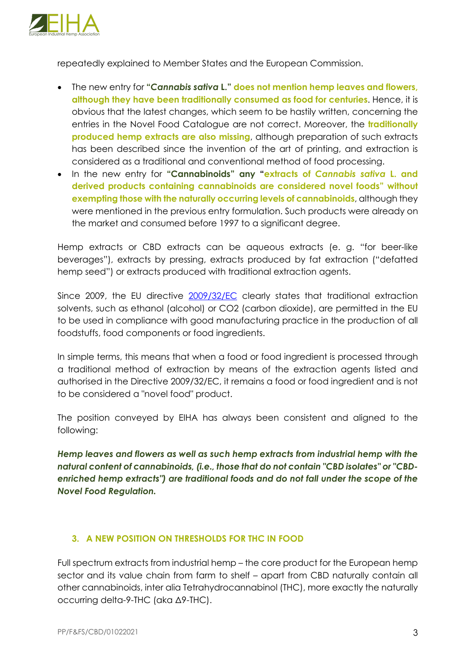

repeatedly explained to Member States and the European Commission.

- The new entry for **"***Cannabis sativa* **L." does not mention hemp leaves and flowers, although they have been traditionally consumed as food for centuries**. Hence, it is obvious that the latest changes, which seem to be hastily written, concerning the entries in the Novel Food Catalogue are not correct. Moreover, the **traditionally produced hemp extracts are also missing**, although preparation of such extracts has been described since the invention of the art of printing, and extraction is considered as a traditional and conventional method of food processing.
- In the new entry for **"Cannabinoids" any "extracts of** *Cannabis sativa* **L. and derived products containing cannabinoids are considered novel foods" without exempting those with the naturally occurring levels of cannabinoids**, although they were mentioned in the previous entry formulation. Such products were already on the market and consumed before 1997 to a significant degree.

Hemp extracts or CBD extracts can be aqueous extracts (e. g. "for beer-like beverages"), extracts by pressing, extracts produced by fat extraction ("defatted hemp seed") or extracts produced with traditional extraction agents.

Since 2009, the EU directive 2009/32/EC clearly states that traditional extraction solvents, such as ethanol (alcohol) or CO2 (carbon dioxide), are permitted in the EU to be used in compliance with good manufacturing practice in the production of all foodstuffs, food components or food ingredients.

In simple terms, this means that when a food or food ingredient is processed through a traditional method of extraction by means of the extraction agents listed and authorised in the Directive 2009/32/EC, it remains a food or food ingredient and is not to be considered a "novel food" product.

The position conveyed by EIHA has always been consistent and aligned to the following:

*Hemp leaves and flowers as well as such hemp extracts from industrial hemp with the natural content of cannabinoids, (i.e., those that do not contain "CBD isolates" or "CBDenriched hemp extracts") are traditional foods and do not fall under the scope of the Novel Food Regulation.*

# **3. A NEW POSITION ON THRESHOLDS FOR THC IN FOOD**

Full spectrum extracts from industrial hemp – the core product for the European hemp sector and its value chain from farm to shelf – apart from CBD naturally contain all other cannabinoids, inter alia Tetrahydrocannabinol (THC), more exactly the naturally occurring delta-9-THC (aka Δ9-THC).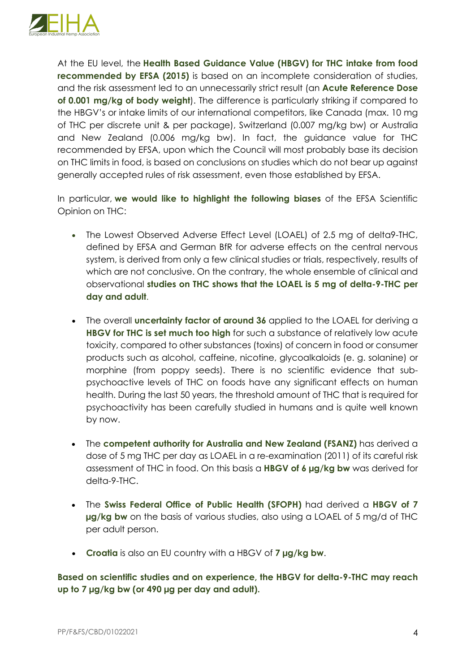

At the EU level, the **Health Based Guidance Value (HBGV) for THC intake from food recommended by EFSA (2015)** is based on an incomplete consideration of studies, and the risk assessment led to an unnecessarily strict result (an **Acute Reference Dose of 0.001 mg/kg of body weight**). The difference is particularly striking if compared to the HBGV's or intake limits of our international competitors, like Canada (max. 10 mg of THC per discrete unit & per package), Switzerland (0.007 mg/kg bw) or Australia and New Zealand (0.006 mg/kg bw). In fact, the guidance value for THC recommended by EFSA, upon which the Council will most probably base its decision on THC limits in food, is based on conclusions on studies which do not bear up against generally accepted rules of risk assessment, even those established by EFSA.

In particular, **we would like to highlight the following biases** of the EFSA Scientific Opinion on THC:

- The Lowest Observed Adverse Effect Level (LOAEL) of 2.5 mg of delta9-THC, defined by EFSA and German BfR for adverse effects on the central nervous system, is derived from only a few clinical studies or trials, respectively, results of which are not conclusive. On the contrary, the whole ensemble of clinical and observational **studies on THC shows that the LOAEL is 5 mg of delta-9-THC per day and adult**.
- The overall **uncertainty factor of around 36** applied to the LOAEL for deriving a **HBGV for THC is set much too high** for such a substance of relatively low acute toxicity, compared to other substances (toxins) of concern in food or consumer products such as alcohol, caffeine, nicotine, glycoalkaloids (e. g. solanine) or morphine (from poppy seeds). There is no scientific evidence that subpsychoactive levels of THC on foods have any significant effects on human health. During the last 50 years, the threshold amount of THC that is required for psychoactivity has been carefully studied in humans and is quite well known by now.
- The **competent authority for Australia and New Zealand (FSANZ)** has derived a dose of 5 mg THC per day as LOAEL in a re-examination (2011) of its careful risk assessment of THC in food. On this basis a **HBGV of 6 µg/kg bw** was derived for delta-9-THC.
- The **Swiss Federal Office of Public Health (SFOPH)** had derived a **HBGV of 7 µg/kg bw** on the basis of various studies, also using a LOAEL of 5 mg/d of THC per adult person.
- **Croatia** is also an EU country with a HBGV of **7 µg/kg bw**.

**Based on scientific studies and on experience, the HBGV for delta-9-THC may reach up to 7 µg/kg bw (or 490 µg per day and adult).**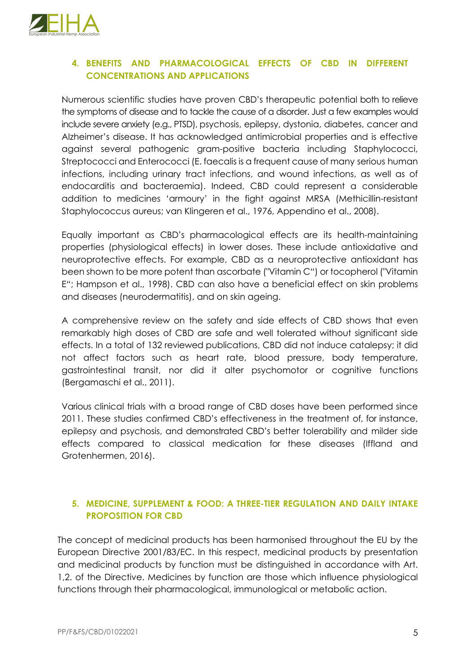

## **4. BENEFITS AND PHARMACOLOGICAL EFFECTS OF CBD IN DIFFERENT CONCENTRATIONS AND APPLICATIONS**

Numerous scientific studies have proven CBD's therapeutic potential both to relieve the symptoms of disease and to tackle the cause of a disorder. Just a few examples would include severe anxiety (e.g., PTSD), psychosis, epilepsy, dystonia, diabetes, cancer and Alzheimer's disease. It has acknowledged antimicrobial properties and is effective against several pathogenic gram-positive bacteria including Staphylococci, Streptococci and Enterococci (E. faecalis is a frequent cause of many serious human infections, including urinary tract infections, and wound infections, as well as of endocarditis and bacteraemia). Indeed, CBD could represent a considerable addition to medicines 'armoury' in the fight against MRSA (Methicillin-resistant Staphylococcus aureus; van Klingeren et al., 1976, Appendino et al., 2008).

Equally important as CBD's pharmacological effects are its health-maintaining properties (physiological effects) in lower doses. These include antioxidative and neuroprotective effects. For example, CBD as a neuroprotective antioxidant has been shown to be more potent than ascorbate ("Vitamin C") or tocopherol ("Vitamin E"; Hampson et al., 1998). CBD can also have a beneficial effect on skin problems and diseases (neurodermatitis), and on skin ageing.

A comprehensive review on the safety and side effects of CBD shows that even remarkably high doses of CBD are safe and well tolerated without significant side effects. In a total of 132 reviewed publications, CBD did not induce catalepsy; it did not affect factors such as heart rate, blood pressure, body temperature, gastrointestinal transit, nor did it alter psychomotor or cognitive functions (Bergamaschi et al., 2011).

Various clinical trials with a broad range of CBD doses have been performed since 2011. These studies confirmed CBD's effectiveness in the treatment of, for instance, epilepsy and psychosis, and demonstrated CBD's better tolerability and milder side effects compared to classical medication for these diseases (Iffland and Grotenhermen, 2016).

# **5. MEDICINE, SUPPLEMENT & FOOD: A THREE-TIER REGULATION AND DAILY INTAKE PROPOSITION FOR CBD**

The concept of medicinal products has been harmonised throughout the EU by the European Directive 2001/83/EC. In this respect, medicinal products by presentation and medicinal products by function must be distinguished in accordance with Art. 1,2. of the Directive. Medicines by function are those which influence physiological functions through their pharmacological, immunological or metabolic action.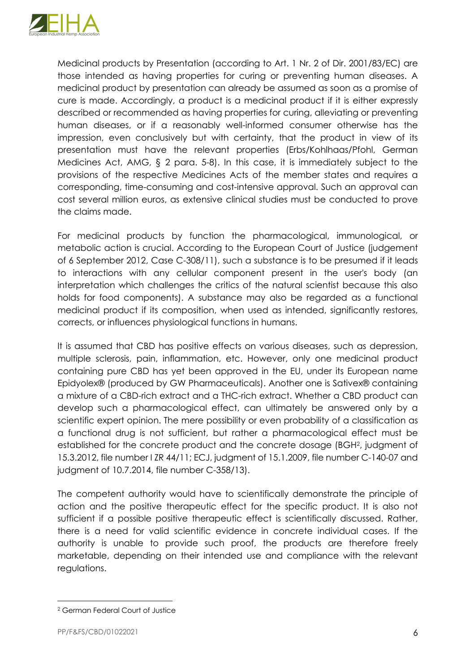

Medicinal products by Presentation (according to Art. 1 Nr. 2 of Dir. 2001/83/EC) are those intended as having properties for curing or preventing human diseases. A medicinal product by presentation can already be assumed as soon as a promise of cure is made. Accordingly, a product is a medicinal product if it is either expressly described or recommended as having properties for curing, alleviating or preventing human diseases, or if a reasonably well-informed consumer otherwise has the impression, even conclusively but with certainty, that the product in view of its presentation must have the relevant properties (Erbs/Kohlhaas/Pfohl, German Medicines Act, AMG, § 2 para. 5-8). In this case, it is immediately subject to the provisions of the respective Medicines Acts of the member states and requires a corresponding, time-consuming and cost-intensive approval. Such an approval can cost several million euros, as extensive clinical studies must be conducted to prove the claims made.

For medicinal products by function the pharmacological, immunological, or metabolic action is crucial. According to the European Court of Justice (judgement of 6 September 2012, Case C-308/11), such a substance is to be presumed if it leads to interactions with any cellular component present in the user's body (an interpretation which challenges the critics of the natural scientist because this also holds for food components). A substance may also be regarded as a functional medicinal product if its composition, when used as intended, significantly restores, corrects, or influences physiological functions in humans.

It is assumed that CBD has positive effects on various diseases, such as depression, multiple sclerosis, pain, inflammation, etc. However, only one medicinal product containing pure CBD has yet been approved in the EU, under its European name Epidyolex® (produced by GW Pharmaceuticals). Another one is Sativex® containing a mixture of a CBD-rich extract and a THC-rich extract. Whether a CBD product can develop such a pharmacological effect, can ultimately be answered only by a scientific expert opinion. The mere possibility or even probability of a classification as a functional drug is not sufficient, but rather a pharmacological effect must be established for the concrete product and the concrete dosage (BGH2, judgment of 15.3.2012, file number I ZR 44/11; ECJ, judgment of 15.1.2009, file number C-140-07 and judgment of 10.7.2014, file number C-358/13).

The competent authority would have to scientifically demonstrate the principle of action and the positive therapeutic effect for the specific product. It is also not sufficient if a possible positive therapeutic effect is scientifically discussed. Rather, there is a need for valid scientific evidence in concrete individual cases. If the authority is unable to provide such proof, the products are therefore freely marketable, depending on their intended use and compliance with the relevant regulations.

<sup>2</sup> German Federal Court of Justice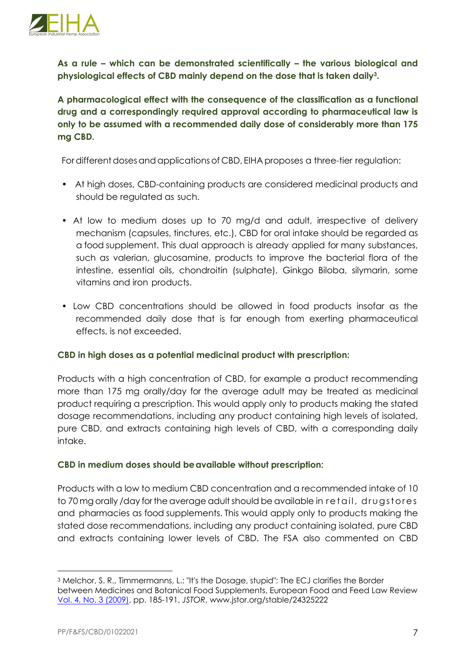

**As a rule – which can be demonstrated scientifically – the various biological and physiological effects of CBD mainly depend on the dose that is taken daily3.**

**A pharmacological effect with the consequence of the classification as a functional drug and a correspondingly required approval according to pharmaceutical law is only to be assumed with a recommended daily dose of considerably more than 175 mg CBD.** 

For different doses and applications of CBD, EIHA proposes a three-tier regulation:

- At high doses, CBD-containing products are considered medicinal products and should be regulated as such.
- At low to medium doses up to 70 mg/d and adult, irrespective of delivery mechanism (capsules, tinctures, etc.), CBD for oral intake should be regarded as a food supplement. This dual approach is already applied for many substances, such as valerian, glucosamine, products to improve the bacterial flora of the intestine, essential oils, chondroitin (sulphate), Ginkgo Biloba, silymarin, some vitamins and iron products.
- Low CBD concentrations should be allowed in food products insofar as the recommended daily dose that is far enough from exerting pharmaceutical effects, is not exceeded.

#### **CBD in high doses as a potential medicinal product with prescription:**

Products with a high concentration of CBD, for example a product recommending more than 175 mg orally/day for the average adult may be treated as medicinal product requiring a prescription. This would apply only to products making the stated dosage recommendations, including any product containing high levels of isolated, pure CBD, and extracts containing high levels of CBD, with a corresponding daily intake.

#### **CBD in medium doses should beavailable without prescription:**

Products with a low to medium CBD concentration and a recommended intake of 10 to 70 mg orally /day forthe average adultshould be available in retail, drugstores and pharmacies as food supplements. This would apply only to products making the stated dose recommendations, including any product containing isolated, pure CBD and extracts containing lower levels of CBD. The FSA also commented on CBD

<sup>3</sup> Melchor, S. R., Timmermanns, L.: "It's the Dosage, stupid": The ECJ clarifies the Border between Medicines and Botanical Food Supplements, European Food and Feed Law Review Vol. 4, No. 3 (2009), pp. 185-191, *JSTOR*, www.jstor.org/stable/24325222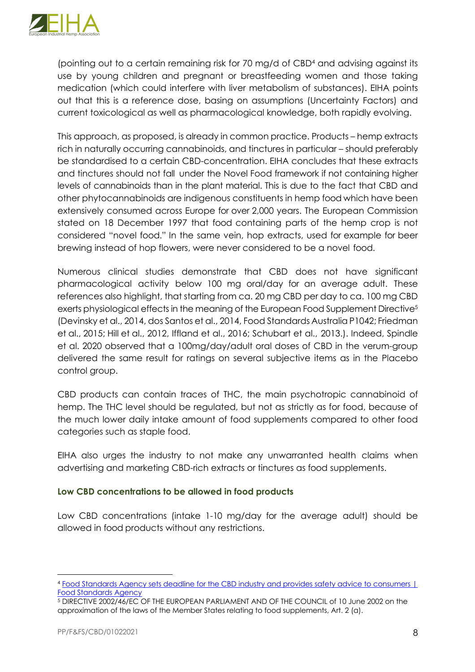

(pointing out to a certain remaining risk for 70 mg/d of CBD4 and advising against its use by young children and pregnant or breastfeeding women and those taking medication (which could interfere with liver metabolism of substances). EIHA points out that this is a reference dose, basing on assumptions (Uncertainty Factors) and current toxicological as well as pharmacological knowledge, both rapidly evolving.

This approach, as proposed, is already in common practice. Products – hemp extracts rich in naturally occurring cannabinoids, and tinctures in particular – should preferably be standardised to a certain CBD-concentration. EIHA concludes that these extracts and tinctures should not fall under the Novel Food framework if not containing higher levels of cannabinoids than in the plant material. This is due to the fact that CBD and other phytocannabinoids are indigenous constituents in hemp food which have been extensively consumed across Europe for over 2,000 years. The European Commission stated on 18 December 1997 that food containing parts of the hemp crop is not considered "novel food." In the same vein, hop extracts, used for example for beer brewing instead of hop flowers, were never considered to be a novel food.

Numerous clinical studies demonstrate that CBD does not have significant pharmacological activity below 100 mg oral/day for an average adult. These references also highlight, that starting from ca. 20 mg CBD per day to ca. 100 mg CBD exerts physiological effects in the meaning of the European Food Supplement Directive5 (Devinsky et al., 2014, dos Santos et al., 2014, Food Standards Australia P1042; Friedman et al., 2015; Hill et al., 2012, Iffland et al., 2016; Schubart et al., 2013.). Indeed, Spindle et al. 2020 observed that a 100mg/day/adult oral doses of CBD in the verum-group delivered the same result for ratings on several subjective items as in the Placebo control group.

CBD products can contain traces of THC, the main psychotropic cannabinoid of hemp. The THC level should be regulated, but not as strictly as for food, because of the much lower daily intake amount of food supplements compared to other food categories such as staple food.

EIHA also urges the industry to not make any unwarranted health claims when advertising and marketing CBD-rich extracts or tinctures as food supplements.

#### **Low CBD concentrations to be allowed in food products**

Low CBD concentrations (intake 1-10 mg/day for the average adult) should be allowed in food products without any restrictions.

<sup>4</sup> Food Standards Agency sets deadline for the CBD industry and provides safety advice to consumers | Food Standards Agency

<sup>5</sup> DIRECTIVE 2002/46/EC OF THE EUROPEAN PARLIAMENT AND OF THE COUNCIL of 10 June 2002 on the approximation of the laws of the Member States relating to food supplements, Art. 2 (a).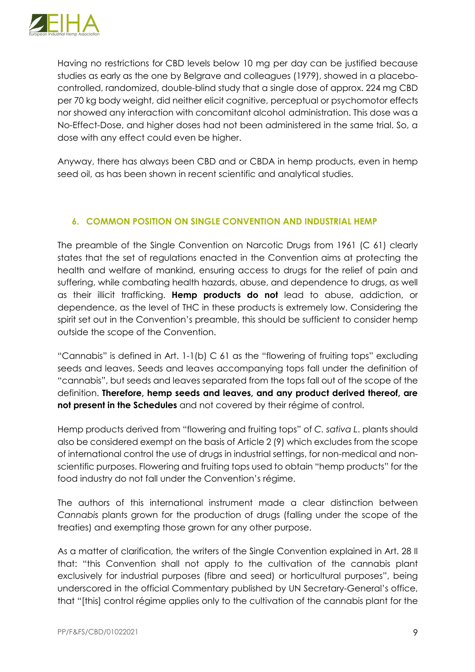

Having no restrictions for CBD levels below 10 mg per day can be justified because studies as early as the one by Belgrave and colleagues (1979), showed in a placebocontrolled, randomized, double-blind study that a single dose of approx. 224 mg CBD per 70 kg body weight, did neither elicit cognitive, perceptual or psychomotor effects nor showed any interaction with concomitant alcohol administration. This dose was a No-Effect-Dose, and higher doses had not been administered in the same trial. So, a dose with any effect could even be higher.

Anyway, there has always been CBD and or CBDA in hemp products, even in hemp seed oil, as has been shown in recent scientific and analytical studies.

### **6. COMMON POSITION ON SINGLE CONVENTION AND INDUSTRIAL HEMP**

The preamble of the Single Convention on Narcotic Drugs from 1961 (C 61) clearly states that the set of regulations enacted in the Convention aims at protecting the health and welfare of mankind, ensuring access to drugs for the relief of pain and suffering, while combating health hazards, abuse, and dependence to drugs, as well as their illicit trafficking. **Hemp products do not** lead to abuse, addiction, or dependence, as the level of THC in these products is extremely low. Considering the spirit set out in the Convention's preamble, this should be sufficient to consider hemp outside the scope of the Convention.

"Cannabis" is defined in Art. 1-1(b) C 61 as the "flowering of fruiting tops" excluding seeds and leaves. Seeds and leaves accompanying tops fall under the definition of "cannabis", but seeds and leaves separated from the tops fall out of the scope of the definition. **Therefore, hemp seeds and leaves, and any product derived thereof, are not present in the Schedules** and not covered by their régime of control.

Hemp products derived from "flowering and fruiting tops" of *C. sativa L*. plants should also be considered exempt on the basis of Article 2 (9) which excludes from the scope of international control the use of drugs in industrial settings, for non-medical and nonscientific purposes. Flowering and fruiting tops used to obtain "hemp products" for the food industry do not fall under the Convention's régime.

The authors of this international instrument made a clear distinction between *Cannabis* plants grown for the production of drugs (falling under the scope of the treaties) and exempting those grown for any other purpose.

As a matter of clarification, the writers of the Single Convention explained in Art. 28 II that: "this Convention shall not apply to the cultivation of the cannabis plant exclusively for industrial purposes (fibre and seed) or horticultural purposes", being underscored in the official Commentary published by UN Secretary-General's office, that "[this] control régime applies only to the cultivation of the cannabis plant for the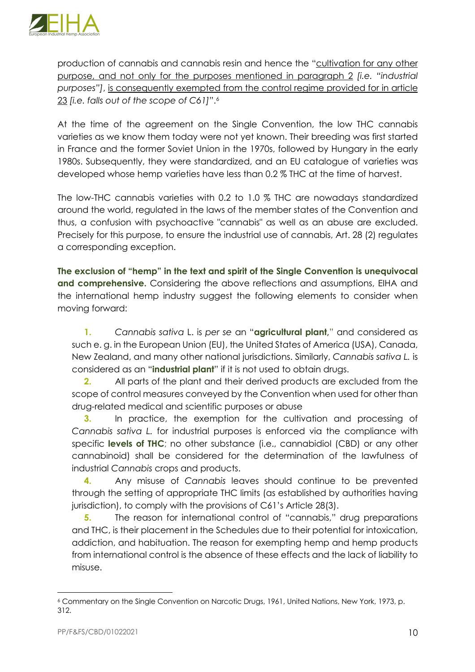

production of cannabis and cannabis resin and hence the "cultivation for any other purpose, and not only for the purposes mentioned in paragraph 2 *[i.e. "industrial purposes"]*, is consequently exempted from the control regime provided for in article 23 *[i.e. falls out of the scope of C61]*".6

At the time of the agreement on the Single Convention, the low THC cannabis varieties as we know them today were not yet known. Their breeding was first started in France and the former Soviet Union in the 1970s, followed by Hungary in the early 1980s. Subsequently, they were standardized, and an EU catalogue of varieties was developed whose hemp varieties have less than 0.2 % THC at the time of harvest.

The low-THC cannabis varieties with 0.2 to 1.0 % THC are nowadays standardized around the world, regulated in the laws of the member states of the Convention and thus, a confusion with psychoactive "cannabis" as well as an abuse are excluded. Precisely for this purpose, to ensure the industrial use of cannabis, Art. 28 (2) regulates a corresponding exception.

**The exclusion of "hemp" in the text and spirit of the Single Convention is unequivocal and comprehensive.** Considering the above reflections and assumptions, EIHA and the international hemp industry suggest the following elements to consider when moving forward:

**1.** *Cannabis sativa* L. is *per se* an "**agricultural plant,**" and considered as such e. g. in the European Union (EU), the United States of America (USA), Canada, New Zealand, and many other national jurisdictions. Similarly, *Cannabis sativa L.* is considered as an "**industrial plant**" if it is not used to obtain drugs.

**2.** All parts of the plant and their derived products are excluded from the scope of control measures conveyed by the Convention when used for other than drug-related medical and scientific purposes or abuse

**3.** In practice, the exemption for the cultivation and processing of *Cannabis sativa L.* for industrial purposes is enforced via the compliance with specific **levels of THC**; no other substance (i.e., cannabidiol (CBD) or any other cannabinoid) shall be considered for the determination of the lawfulness of industrial *Cannabis* crops and products.

**4.** Any misuse of *Cannabis* leaves should continue to be prevented through the setting of appropriate THC limits (as established by authorities having jurisdiction), to comply with the provisions of C61's Article 28(3).

**5.** The reason for international control of "cannabis," drug preparations and THC, is their placement in the Schedules due to their potential for intoxication, addiction, and habituation. The reason for exempting hemp and hemp products from international control is the absence of these effects and the lack of liability to misuse.

<sup>6</sup> Commentary on the Single Convention on Narcotic Drugs, 1961, United Nations, New York, 1973, p. 312.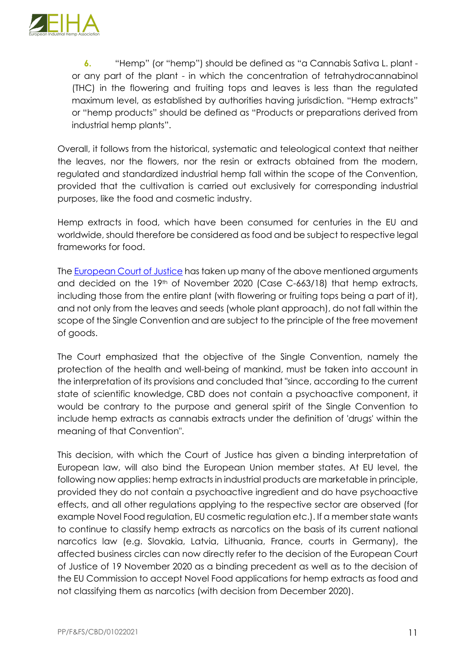

**6.** "Hemp" (or "hemp") should be defined as "a Cannabis Sativa L. plant or any part of the plant - in which the concentration of tetrahydrocannabinol (THC) in the flowering and fruiting tops and leaves is less than the regulated maximum level, as established by authorities having jurisdiction. "Hemp extracts" or "hemp products" should be defined as "Products or preparations derived from industrial hemp plants".

Overall, it follows from the historical, systematic and teleological context that neither the leaves, nor the flowers, nor the resin or extracts obtained from the modern, regulated and standardized industrial hemp fall within the scope of the Convention, provided that the cultivation is carried out exclusively for corresponding industrial purposes, like the food and cosmetic industry.

Hemp extracts in food, which have been consumed for centuries in the EU and worldwide, should therefore be considered as food and be subject to respective legal frameworks for food.

The European Court of Justice has taken up many of the above mentioned arguments and decided on the 19th of November 2020 (Case C-663/18) that hemp extracts, including those from the entire plant (with flowering or fruiting tops being a part of it), and not only from the leaves and seeds (whole plant approach), do not fall within the scope of the Single Convention and are subject to the principle of the free movement of goods.

The Court emphasized that the objective of the Single Convention, namely the protection of the health and well-being of mankind, must be taken into account in the interpretation of its provisions and concluded that "since, according to the current state of scientific knowledge, CBD does not contain a psychoactive component, it would be contrary to the purpose and general spirit of the Single Convention to include hemp extracts as cannabis extracts under the definition of 'drugs' within the meaning of that Convention".

This decision, with which the Court of Justice has given a binding interpretation of European law, will also bind the European Union member states. At EU level, the following now applies: hemp extracts in industrial products are marketable in principle, provided they do not contain a psychoactive ingredient and do have psychoactive effects, and all other regulations applying to the respective sector are observed (for example Novel Food regulation, EU cosmetic regulation etc.). If a member state wants to continue to classify hemp extracts as narcotics on the basis of its current national narcotics law (e.g. Slovakia, Latvia, Lithuania, France, courts in Germany), the affected business circles can now directly refer to the decision of the European Court of Justice of 19 November 2020 as a binding precedent as well as to the decision of the EU Commission to accept Novel Food applications for hemp extracts as food and not classifying them as narcotics (with decision from December 2020).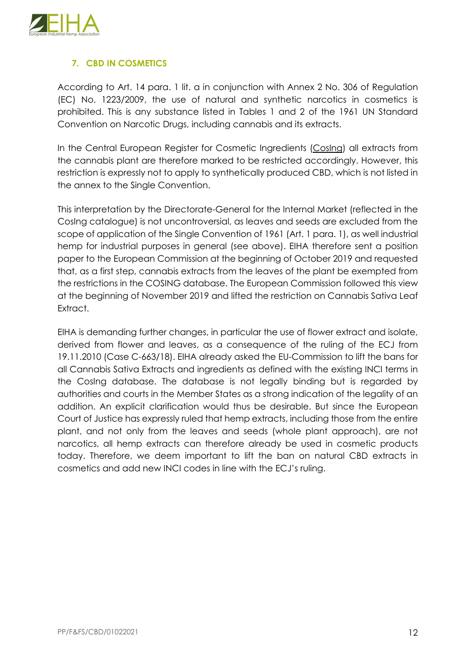

# **7. CBD IN COSMETICS**

According to Art. 14 para. 1 lit. a in conjunction with Annex 2 No. 306 of Regulation (EC) No. 1223/2009, the use of natural and synthetic narcotics in cosmetics is prohibited. This is any substance listed in Tables 1 and 2 of the 1961 UN Standard Convention on Narcotic Drugs, including cannabis and its extracts.

In the Central European Register for Cosmetic Ingredients (Cosing) all extracts from the cannabis plant are therefore marked to be restricted accordingly. However, this restriction is expressly not to apply to synthetically produced CBD, which is not listed in the annex to the Single Convention.

This interpretation by the Directorate-General for the Internal Market (reflected in the CosIng catalogue) is not uncontroversial, as leaves and seeds are excluded from the scope of application of the Single Convention of 1961 (Art. 1 para. 1), as well industrial hemp for industrial purposes in general (see above). EIHA therefore sent a position paper to the European Commission at the beginning of October 2019 and requested that, as a first step, cannabis extracts from the leaves of the plant be exempted from the restrictions in the COSING database. The European Commission followed this view at the beginning of November 2019 and lifted the restriction on Cannabis Sativa Leaf Extract.

EIHA is demanding further changes, in particular the use of flower extract and isolate, derived from flower and leaves, as a consequence of the ruling of the ECJ from 19.11.2010 (Case C-663/18). EIHA already asked the EU-Commission to lift the bans for all Cannabis Sativa Extracts and ingredients as defined with the existing INCI terms in the CosIng database. The database is not legally binding but is regarded by authorities and courts in the Member States as a strong indication of the legality of an addition. An explicit clarification would thus be desirable. But since the European Court of Justice has expressly ruled that hemp extracts, including those from the entire plant, and not only from the leaves and seeds (whole plant approach), are not narcotics, all hemp extracts can therefore already be used in cosmetic products today. Therefore, we deem important to lift the ban on natural CBD extracts in cosmetics and add new INCI codes in line with the ECJ's ruling.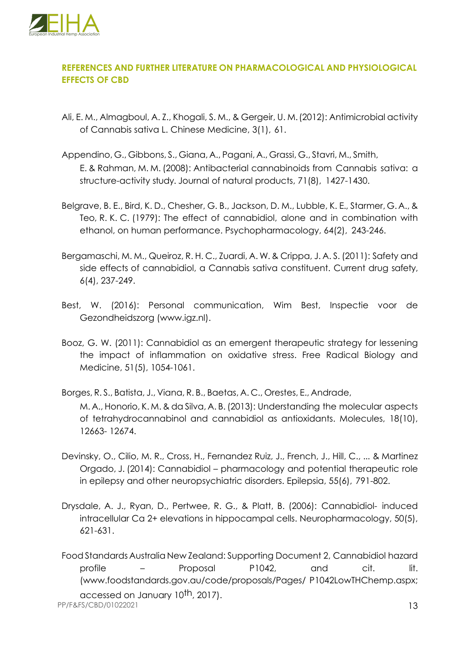

# **REFERENCES AND FURTHER LITERATURE ON PHARMACOLOGICAL AND PHYSIOLOGICAL EFFECTS OF CBD**

- Ali, E. M., Almagboul, A. Z., Khogali, S. M., & Gergeir, U. M.(2012): Antimicrobial activity of Cannabis sativa L. Chinese Medicine, 3(1), 61.
- Appendino, G., Gibbons, S., Giana, A., Pagani, A., Grassi, G., Stavri, M., Smith, E. & Rahman, M. M. (2008): Antibacterial cannabinoids from Cannabis sativa: a structure-activity study. Journal of natural products, 71(8), 1427-1430.
- Belgrave, B. E., Bird, K. D., Chesher, G. B., Jackson, D. M., Lubble, K. E., Starmer, G. A., & Teo, R. K. C. (1979): The effect of cannabidiol, alone and in combination with ethanol, on human performance. Psychopharmacology, 64(2), 243-246.
- Bergamaschi, M. M., Queiroz, R. H. C., Zuardi, A. W. & Crippa, J. A. S. (2011): Safety and side effects of cannabidiol, a Cannabis sativa constituent. Current drug safety, 6(4), 237-249.
- Best, W. (2016): Personal communication, Wim Best, Inspectie voor de Gezondheidszorg (www.igz.nl).
- Booz, G. W. (2011): Cannabidiol as an emergent therapeutic strategy for lessening the impact of inflammation on oxidative stress. Free Radical Biology and Medicine, 51(5), 1054-1061.
- Borges, R. S., Batista, J., Viana, R. B., Baetas, A. C., Orestes, E., Andrade, M. A., Honorio, K. M. & da Silva, A. B.(2013): Understanding the molecular aspects of tetrahydrocannabinol and cannabidiol as antioxidants. Molecules, 18(10), 12663- 12674.
- Devinsky, O., Cilio, M. R., Cross, H., Fernandez Ruiz, J., French, J., Hill, C., ... & Martinez Orgado, J. (2014): Cannabidiol – pharmacology and potential therapeutic role in epilepsy and other neuropsychiatric disorders. Epilepsia, 55(6), 791-802.
- Drysdale, A. J., Ryan, D., Pertwee, R. G., & Platt, B. (2006): Cannabidiol- induced intracellular Ca 2+ elevations in hippocampal cells. Neuropharmacology, 50(5), 621-631.
- PP/F&FS/CBD/01022021 13 FoodStandards Australia New Zealand: Supporting Document 2, Cannabidiol hazard profile – Proposal P1042, and cit. lit. (www.foodstandards.gov.au/code/proposals/Pages/ P1042LowTHChemp.aspx; accessed on January 10<sup>th</sup>, 2017).